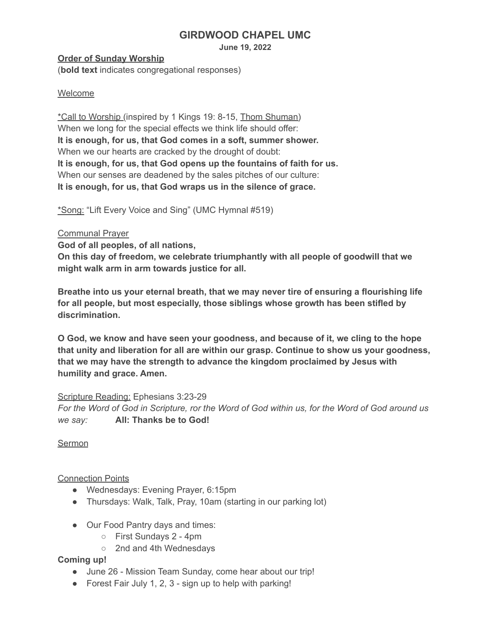# **GIRDWOOD CHAPEL UMC**

**June 19, 2022**

## **Order of Sunday Worship**

(**bold text** indicates congregational responses)

# Welcome

\*Call to Worship (inspired by 1 Kings 19: 8-15, Thom [Shuman\)](https://re-worship.blogspot.com/2013/06/call-to-worship-1-kings-19-8-15.html) When we long for the special effects we think life should offer: **It is enough, for us, that God comes in a soft, summer shower.** When we our hearts are cracked by the drought of doubt: **It is enough, for us, that God opens up the fountains of faith for us.** When our senses are deadened by the sales pitches of our culture: **It is enough, for us, that God wraps us in the silence of grace.**

\*Song: "Lift Every Voice and Sing" (UMC Hymnal #519)

### Communal Prayer

**God of all peoples, of all nations,**

**On this day of freedom, we celebrate triumphantly with all people of goodwill that we might walk arm in arm towards justice for all.**

**Breathe into us your eternal breath, that we may never tire of ensuring a flourishing life for all people, but most especially, those siblings whose growth has been stifled by discrimination.**

**O God, we know and have seen your goodness, and because of it, we cling to the hope that unity and liberation for all are within our grasp. Continue to show us your goodness, that we may have the strength to advance the kingdom proclaimed by Jesus with humility and grace. Amen.**

#### Scripture Reading: Ephesians 3:23-29

For the Word of God in Scripture, ror the Word of God within us, for the Word of God around us *we say:* **All: Thanks be to God!**

Sermon

Connection Points

- Wednesdays: Evening Prayer, 6:15pm
- Thursdays: Walk, Talk, Pray, 10am (starting in our parking lot)
- Our Food Pantry days and times:
	- First Sundays 2 4pm
	- 2nd and 4th Wednesdays

**Coming up!**

- June 26 Mission Team Sunday, come hear about our trip!
- Forest Fair July 1, 2, 3 sign up to help with parking!